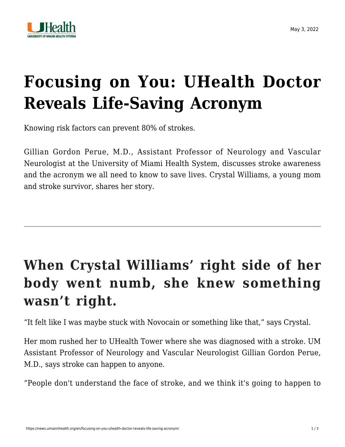

## **[Focusing on You: UHealth Doctor](https://news.umiamihealth.org/en/focusing-on-you-uhealth-doctor-reveals-life-saving-acronym/) [Reveals Life-Saving Acronym](https://news.umiamihealth.org/en/focusing-on-you-uhealth-doctor-reveals-life-saving-acronym/)**

Knowing risk factors can prevent 80% of strokes.

[Gillian Gordon Perue, M.D.,](https://doctors.umiamihealth.org/provider/Gillian+Gordon+Perue/1430401?unified=Gillian%20Gordon%20Perue%2C%20M.D.&sort=relevance&tt=e0545cac-f6f2-4551-8719-c2929da09b05&ut=66f23840-13fd-4e6a-85e7-7690560ef315×tamp=2022-05-03T14%3A32%3A49.107Z&from=search-list) Assistant Professor of Neurology and Vascular Neurologist at the University of Miami Health System, discusses stroke awareness and the acronym we all need to know to save lives. Crystal Williams, a young mom and stroke survivor, shares her story.

## **When Crystal Williams' right side of her body went numb, she knew something wasn't right.**

"It felt like I was maybe stuck with Novocain or something like that," says Crystal.

Her mom rushed her to UHealth Tower where she was diagnosed with a stroke. UM Assistant Professor of Neurology and Vascular Neurologist Gillian Gordon Perue, M.D., says stroke can happen to anyone.

"People don't understand the face of stroke, and we think it's going to happen to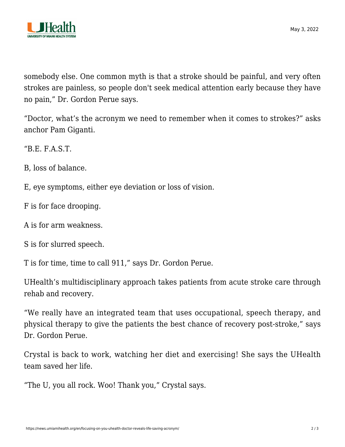

somebody else. One common myth is that a stroke should be painful, and very often strokes are painless, so people don't seek medical attention early because they have no pain," Dr. Gordon Perue says.

"Doctor, what's the acronym we need to remember when it comes to strokes?" asks anchor Pam Giganti.

"B.E. F.A.S.T.

B, loss of balance.

E, eye symptoms, either eye deviation or loss of vision.

F is for face drooping.

A is for arm weakness.

S is for slurred speech.

T is for time, time to call 911," says Dr. Gordon Perue.

UHealth's multidisciplinary approach takes patients from acute stroke care through rehab and recovery.

"We really have an integrated team that uses occupational, speech therapy, and physical therapy to give the patients the best chance of recovery post-stroke," says Dr. Gordon Perue.

Crystal is back to work, watching her diet and exercising! She says the UHealth team saved her life.

"The U, you all rock. Woo! Thank you," Crystal says.